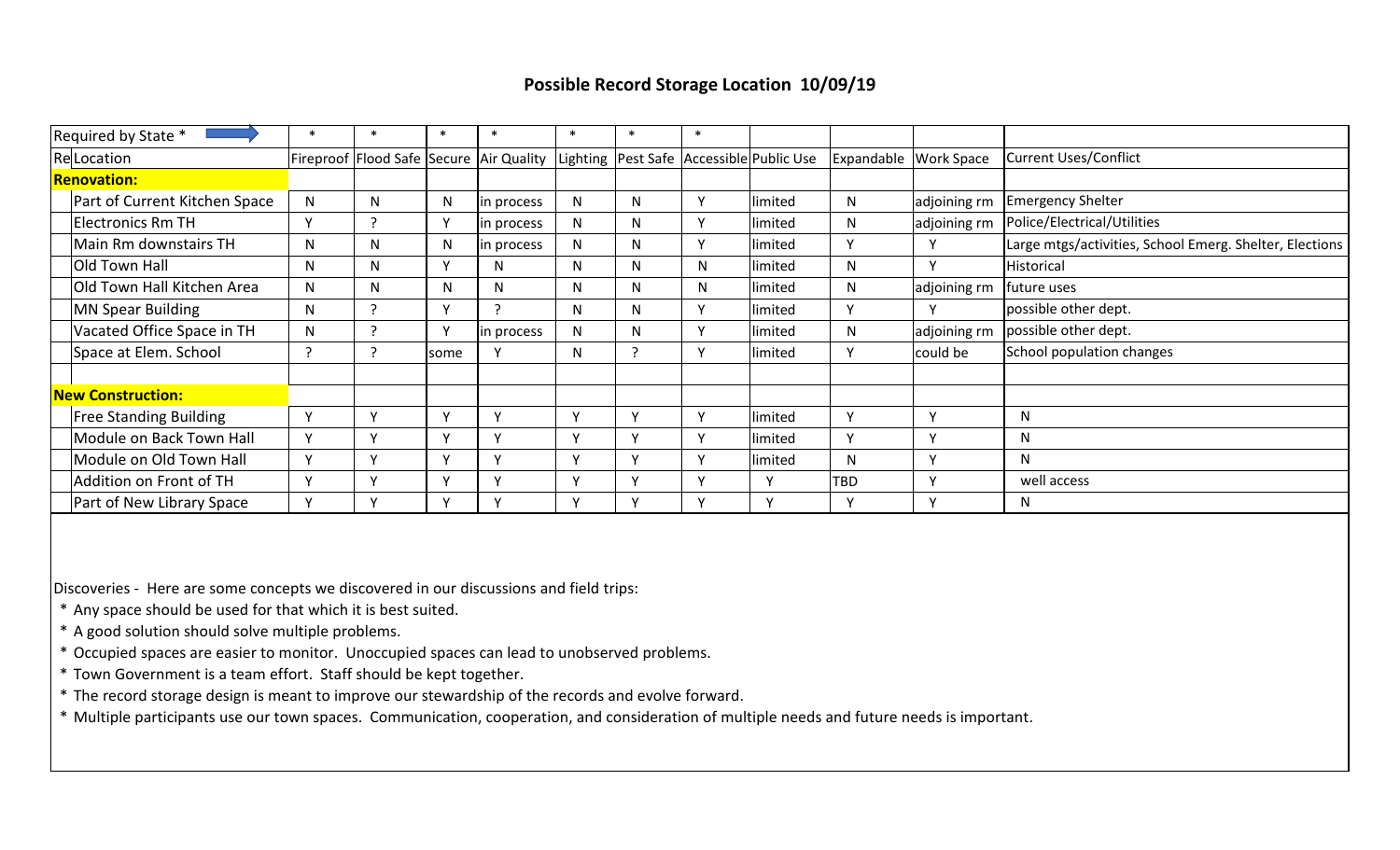## **Possible Record Storage Location 10/09/19**

| Required by State *           |        |              | $\ast$                     | $\ast$                                                                                         | $\ast$       | $\ast$       | ∗            |          |     |                       |                                                         |
|-------------------------------|--------|--------------|----------------------------|------------------------------------------------------------------------------------------------|--------------|--------------|--------------|----------|-----|-----------------------|---------------------------------------------------------|
| Re Location                   |        |              |                            | Fireproof   Flood Safe   Secure   Air Quality   Lighting   Pest Safe   Accessible   Public Use |              |              |              |          |     | Expandable Work Space | <b>Current Uses/Conflict</b>                            |
| <b>Renovation:</b>            |        |              |                            |                                                                                                |              |              |              |          |     |                       |                                                         |
| Part of Current Kitchen Space | N      | N            | N                          | in process                                                                                     | N            | N            | Y            | limited  | N   | adjoining rm          | <b>Emergency Shelter</b>                                |
| <b>Electronics Rm TH</b>      | $\vee$ |              | $\mathbf v$                | in process                                                                                     | N            | N            | Y            | limited  | N   | adjoining rm          | Police/Electrical/Utilities                             |
| Main Rm downstairs TH         | N      | N            | N                          | in process                                                                                     | N            | N            | Y            | limited  | Y   |                       | Large mtgs/activities, School Emerg. Shelter, Elections |
| Old Town Hall                 | N      | N            | v                          | N.                                                                                             | N            | N            | N.           | limited  | N   | $\mathsf{v}$          | Historical                                              |
| Old Town Hall Kitchen Area    | N      | N            | N                          | N                                                                                              | N            | N            | N.           | limited  | N   | adjoining rm          | future uses                                             |
| <b>MN Spear Building</b>      | N      |              | $\mathsf{v}$               |                                                                                                | $\mathsf{N}$ | N            | Y            | limited  | Y   |                       | possible other dept.                                    |
| Vacated Office Space in TH    | N      |              |                            | in process                                                                                     | N            | N            | Υ            | limited  | N   | adjoining rm          | possible other dept.                                    |
| Space at Elem. School         |        |              | some                       |                                                                                                | N            |              | Υ            | limited  | Y   | could be              | School population changes                               |
|                               |        |              |                            |                                                                                                |              |              |              |          |     |                       |                                                         |
| <b>New Construction:</b>      |        |              |                            |                                                                                                |              |              |              |          |     |                       |                                                         |
| <b>Free Standing Building</b> | Y      | $\mathbf{v}$ | $\mathsf{v}$               | $\mathbf{v}$                                                                                   | Y            | $\mathsf{v}$ | Y            | limited  | Y   | $\vee$                | $\mathsf{N}$                                            |
| Module on Back Town Hall      | Y      | $\mathbf{v}$ | $\mathsf{v}$               | $\mathbf{v}$                                                                                   | Y            | $\vee$       | Y            | limited  | Y   | v                     | N                                                       |
| Module on Old Town Hall       | Y      |              | Y                          | $\mathbf{v}$                                                                                   | Y            | $\mathsf{v}$ | Y            | limited  | N   | <b>Y</b>              | N                                                       |
| Addition on Front of TH       | Y      |              | $\mathbf{v}$               |                                                                                                | Y            | $\checkmark$ | Y            | <b>Y</b> | TBD | <b>V</b>              | well access                                             |
| Part of New Library Space     | Υ      |              | $\boldsymbol{\mathcal{N}}$ |                                                                                                | v            | $\checkmark$ | $\checkmark$ | Y        | Υ   | v                     | N                                                       |

Discoveries - Here are some concepts we discovered in our discussions and field trips:

\* Any space should be used for that which it is best suited.

- \* A good solution should solve multiple problems.
- \* Occupied spaces are easier to monitor. Unoccupied spaces can lead to unobserved problems.
- \* Town Government is a team effort. Staff should be kept together.
- \* The record storage design is meant to improve our stewardship of the records and evolve forward.

\* Multiple participants use our town spaces. Communication, cooperation, and consideration of multiple needs and future needs is important.